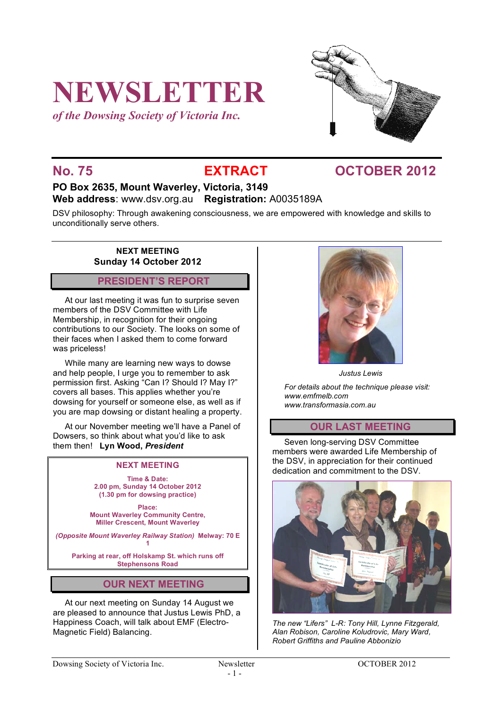# **NEWSLETTER**

*of the Dowsing Society of Victoria Inc.*



## **No. 75 EXTRACT OCTOBER 2012**

# **PO Box 2635, Mount Waverley, Victoria, 3149**

**Web address**: www.dsv.org.au **Registration:** A0035189A

DSV philosophy: Through awakening consciousness, we are empowered with knowledge and skills to unconditionally serve others.

> **NEXT MEETING Sunday 14 October 2012**

### **PRESIDENT'S REPORT**

At our last meeting it was fun to surprise seven members of the DSV Committee with Life Membership, in recognition for their ongoing contributions to our Society. The looks on some of their faces when I asked them to come forward was priceless!

While many are learning new ways to dowse and help people, I urge you to remember to ask permission first. Asking "Can I? Should I? May I?" covers all bases. This applies whether you're dowsing for yourself or someone else, as well as if you are map dowsing or distant healing a property.

At our November meeting we'll have a Panel of Dowsers, so think about what you'd like to ask them then! **Lyn Wood,** *President*

#### **NEXT MEETING**

**Time & Date: 2.00 pm, Sunday 14 October 2012 (1.30 pm for dowsing practice)**

**Place: Mount Waverley Community Centre, Miller Crescent, Mount Waverley**

*(Opposite Mount Waverley Railway Station)* **Melway: 70 E 1**

**Parking at rear, off Holskamp St. which runs off Stephensons Road**

#### **OUR NEXT MEETING**

At our next meeting on Sunday 14 August we are pleased to announce that Justus Lewis PhD, a Happiness Coach, will talk about EMF (Electro-Magnetic Field) Balancing.



*Justus Lewis*

*For details about the technique please visit: www.emfmelb.com www.transformasia.com.au*

### **OUR LAST MEETING**

Seven long-serving DSV Committee members were awarded Life Membership of the DSV, in appreciation for their continued dedication and commitment to the DSV.



*The new "Lifers" L-R: Tony Hill, Lynne Fitzgerald, Alan Robison, Caroline Koludrovic, Mary Ward, Robert Griffiths and Pauline Abbonizio*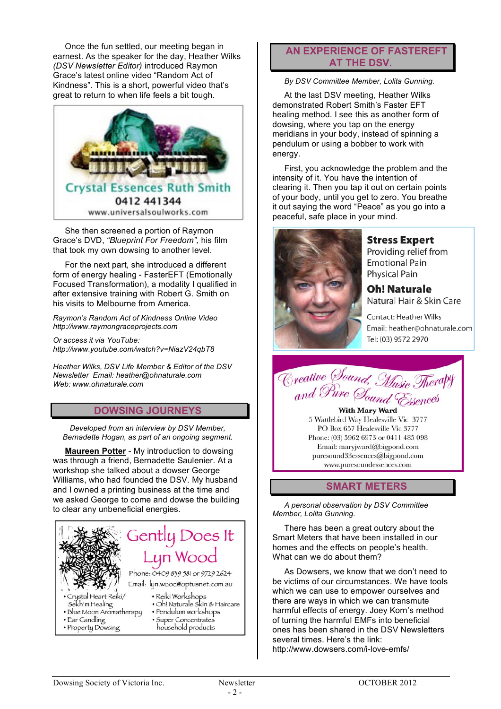Once the fun settled, our meeting began in earnest. As the speaker for the day, Heather Wilks *(DSV Newsletter Editor)* introduced Raymon Grace's latest online video "Random Act of Kindness". This is a short, powerful video that's great to return to when life feels a bit tough.



She then screened a portion of Raymon Grace's DVD, *"Blueprint For Freedom",* his film that took my own dowsing to another level.

For the next part, she introduced a different form of energy healing - FasterEFT (Emotionally Focused Transformation), a modality I qualified in after extensive training with Robert G. Smith on his visits to Melbourne from America.

*Raymon's Random Act of Kindness Online Video http://www.raymongraceprojects.com*

*Or access it via YouTube: http://www.youtube.com/watch?v=NiazV24qbT8*

*Heather Wilks, DSV Life Member & Editor of the DSV Newsletter Email: heather@ohnaturale.com Web: www.ohnaturale.com*

#### **DOWSING JOURNEYS**

*Developed from an interview by DSV Member, Bernadette Hogan, as part of an ongoing segment.*

**Maureen Potter** - My introduction to dowsing was through a friend, Bernadette Saulenier. At a workshop she talked about a dowser George Williams, who had founded the DSV. My husband and I owned a printing business at the time and we asked George to come and dowse the building to clear any unbeneficial energies.



#### **AN EXPERIENCE OF FASTEREFT AT THE DSV.**

*By DSV Committee Member, Lolita Gunning.*

At the last DSV meeting, Heather Wilks demonstrated Robert Smith's Faster EFT healing method. I see this as another form of dowsing, where you tap on the energy meridians in your body, instead of spinning a pendulum or using a bobber to work with energy.

First, you acknowledge the problem and the intensity of it. You have the intention of clearing it. Then you tap it out on certain points of your body, until you get to zero. You breathe it out saying the word "Peace" as you go into a peaceful, safe place in your mind.



**Stress Expert** 

Providing relief from **Emotional Pain Physical Pain** 

**Oh! Naturale** Natural Hair & Skin Care

**Contact: Heather Wilks** Email: heather@ohnaturale.com Tel: (03) 9572 2970



**With Mary Ward** 5 Wattlebird Way Healesville Vic 3777 PO Box 657 Healesville Vic 3777 Phone: (03) 5962 6973 or 0411 485 098 Email: maryjward@bigpond.com puresound33essences@bigpond.com www.puresoundessences.com

#### **SMART METERS**

*A personal observation by DSV Committee Member, Lolita Gunning.*

There has been a great outcry about the Smart Meters that have been installed in our homes and the effects on people's health. What can we do about them?

As Dowsers, we know that we don't need to be victims of our circumstances. We have tools which we can use to empower ourselves and there are ways in which we can transmute harmful effects of energy. Joey Korn's method of turning the harmful EMFs into beneficial ones has been shared in the DSV Newsletters several times. Here's the link: http://www.dowsers.com/i-love-emfs/